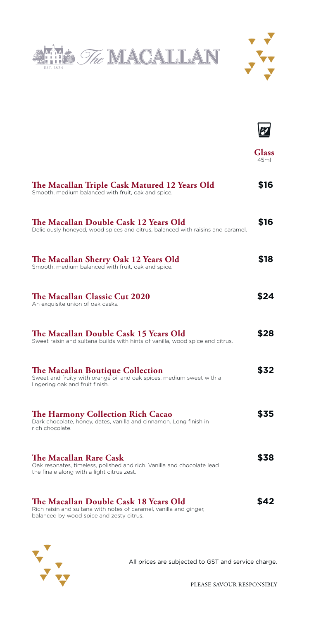





**Glass** 45ml

| The Macallan Triple Cask Matured 12 Years Old<br>Smooth, medium balanced with fruit, oak and spice.                                                     | \$16 |
|---------------------------------------------------------------------------------------------------------------------------------------------------------|------|
| The Macallan Double Cask 12 Years Old<br>Deliciously honeyed, wood spices and citrus, balanced with raisins and caramel.                                | \$16 |
| The Macallan Sherry Oak 12 Years Old<br>Smooth, medium balanced with fruit, oak and spice.                                                              | \$18 |
| The Macallan Classic Cut 2020<br>An exquisite union of oak casks.                                                                                       | \$24 |
| The Macallan Double Cask 15 Years Old<br>Sweet raisin and sultana builds with hints of vanilla, wood spice and citrus.                                  | \$28 |
| The Macallan Boutique Collection<br>Sweet and fruity with orange oil and oak spices, medium sweet with a<br>lingering oak and fruit finish.             | \$32 |
| The Harmony Collection Rich Cacao<br>Dark chocolate, honey, dates, vanilla and cinnamon. Long finish in<br>rich chocolate.                              | \$35 |
| The Macallan Rare Cask<br>Oak resonates, timeless, polished and rich. Vanilla and chocolate lead<br>the finale along with a light citrus zest.          | \$38 |
| The Macallan Double Cask 18 Years Old<br>Rich raisin and sultana with notes of caramel, vanilla and ginger,<br>balanced by wood spice and zesty citrus. | \$42 |



All prices are subjected to GST and service charge.